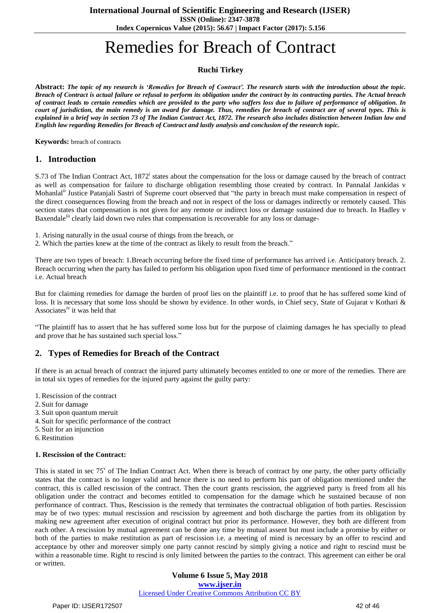**ISSN (Online): 2347-3878 Index Copernicus Value (2015): 56.67 | Impact Factor (2017): 5.156**

# Remedies for Breach of Contract

# **Ruchi Tirkey**

Abstract: The topic of my research is 'Remedies for Breach of Contract'. The research starts with the introduction about the topic. Breach of Contract is actual failure or refusal to perform its obligation under the contract by its contracting parties. The Actual breach of contract leads to certain remedies which are provided to the party who suffers loss due to failure of performance of obligation. In court of jurisdiction, the main remedy is an award for damage. Thus, remedies for breach of contract are of several types. This is explained in a brief way in section 73 of The Indian Contract Act, 1872. The research also includes distinction between Indian law and English law regarding Remedies for Breach of Contract and lastly analysis and conclusion of the research topic.

**Keywords:** breach of contracts

## **1. Introduction**

S.73 of The Indian Contract Act, 1872<sup>i</sup> states about the compensation for the loss or damage caused by the breach of contract as well as compensation for failure to discharge obligation resembling those created by contract. In Pannalal Jankidas v Mohanlal<sup>ii</sup> Justice Patanjali Sastri of Supreme court observed that "the party in breach must make compensation in respect of the direct consequences flowing from the breach and not in respect of the loss or damages indirectly or remotely caused. This section states that compensation is not given for any remote or indirect loss or damage sustained due to breach. In Hadley v Baxendale<sup>iii</sup> clearly laid down two rules that compensation is recoverable for any loss or damage-

- 1. Arising naturally in the usual course of things from the breach, or
- 2. Which the parties knew at the time of the contract as likely to result from the breach."

There are two types of breach: 1.Breach occurring before the fixed time of performance has arrived i.e. Anticipatory breach. 2. Breach occurring when the party has failed to perform his obligation upon fixed time of performance mentioned in the contract i.e. Actual breach

But for claiming remedies for damage the burden of proof lies on the plaintiff i.e. to proof that he has suffered some kind of loss. It is necessary that some loss should be shown by evidence. In other words, in Chief secy, State of Gujarat v Kothari & Associates<sup>iv</sup> it was held that

"The plaintiff has to assert that he has suffered some loss but for the purpose of claiming damages he has specially to plead and prove that he has sustained such special loss."

# **2. Types of Remedies for Breach of the Contract**

If there is an actual breach of contract the injured party ultimately becomes entitled to one or more of the remedies. There are in total six types of remedies for the injured party against the guilty party:

- 1.Rescission of the contract
- 2. Suit for damage
- 3. Suit upon quantum meruit
- 4. Suit for specific performance of the contract
- 5. Suit for an injunction
- 6.Restitution

### **1. Rescission of the Contract:**

This is stated in sec 75<sup>v</sup> of The Indian Contract Act. When there is breach of contract by one party, the other party officially states that the contract is no longer valid and hence there is no need to perform his part of obligation mentioned under the contract, this is called rescission of the contract. Then the court grants rescission, the aggrieved party is freed from all his obligation under the contract and becomes entitled to compensation for the damage which he sustained because of non performance of contract. Thus, Rescission is the remedy that terminates the contractual obligation of both parties. Rescission may be of two types: mutual rescission and rescission by agreement and both discharge the parties from its obligation by making new agreement after execution of original contract but prior its performance. However, they both are different from each other. A rescission by mutual agreement can be done any time by mutual assent but must include a promise by either or both of the parties to make restitution as part of rescission i.e. a meeting of mind is necessary by an offer to rescind and acceptance by other and moreover simply one party cannot rescind by simply giving a notice and right to rescind must be within a reasonable time. Right to rescind is only limited between the parties to the contract. This agreement can either be oral or written.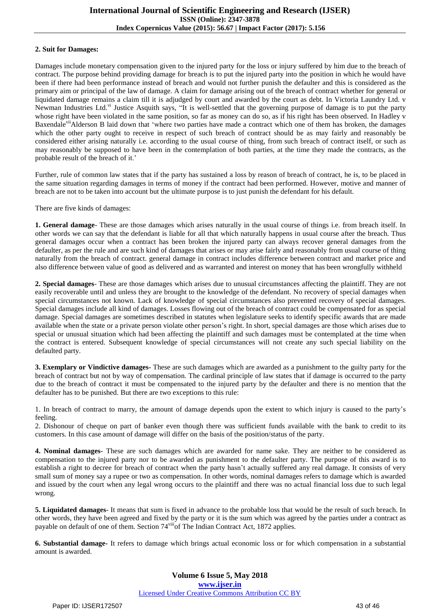#### **2. Suit for Damages:**

Damages include monetary compensation given to the injured party for the loss or injury suffered by him due to the breach of contract. The purpose behind providing damage for breach is to put the injured party into the position in which he would have been if there had been performance instead of breach and would not further punish the defaulter and this is considered as the primary aim or principal of the law of damage. A claim for damage arising out of the breach of contract whether for general or liquidated damage remains a claim till it is adjudged by court and awarded by the court as debt. In Victoria Laundry Ltd. v Newman Industries Ltd.vi Justice Asquith says, "It is well-settled that the governing purpose of damage is to put the party whose right have been violated in the same position, so far as money can do so, as if his right has been observed. In Hadley v Baxendale<sup>vii</sup>Alderson B laid down that 'where two parties have made a contract which one of them has broken, the damages which the other party ought to receive in respect of such breach of contract should be as may fairly and reasonably be considered either arising naturally i.e. according to the usual course of thing, from such breach of contract itself, or such as may reasonably be supposed to have been in the contemplation of both parties, at the time they made the contracts, as the probable result of the breach of it.'

Further, rule of common law states that if the party has sustained a loss by reason of breach of contract, he is, to be placed in the same situation regarding damages in terms of money if the contract had been performed. However, motive and manner of breach are not to be taken into account but the ultimate purpose is to just punish the defendant for his default.

There are five kinds of damages:

**1. General damage**- These are those damages which arises naturally in the usual course of things i.e. from breach itself. In other words we can say that the defendant is liable for all that which naturally happens in usual course after the breach. Thus general damages occur when a contract has been broken the injured party can always recover general damages from the defaulter, as per the rule and are such kind of damages that arises or may arise fairly and reasonably from usual course of thing naturally from the breach of contract. general damage in contract includes difference between contract and market price and also difference between value of good as delivered and as warranted and interest on money that has been wrongfully withheld

**2. Special damages**- These are those damages which arises due to unusual circumstances affecting the plaintiff. They are not easily recoverable until and unless they are brought to the knowledge of the defendant. No recovery of special damages when special circumstances not known. Lack of knowledge of special circumstances also prevented recovery of special damages. Special damages include all kind of damages. Losses flowing out of the breach of contract could be compensated for as special damage. Special damages are sometimes described in statutes when legislature seeks to identify specific awards that are made available when the state or a private person violate other person"s right. In short, special damages are those which arises due to special or unusual situation which had been affecting the plaintiff and such damages must be contemplated at the time when the contract is entered. Subsequent knowledge of special circumstances will not create any such special liability on the defaulted party.

**3. Exemplary or Vindictive damages-** These are such damages which are awarded as a punishment to the guilty party for the breach of contract but not by way of compensation. The cardinal principle of law states that if damage is occurred to the party due to the breach of contract it must be compensated to the injured party by the defaulter and there is no mention that the defaulter has to be punished. But there are two exceptions to this rule:

1. In breach of contract to marry, the amount of damage depends upon the extent to which injury is caused to the party"s feeling.

2. Dishonour of cheque on part of banker even though there was sufficient funds available with the bank to credit to its customers. In this case amount of damage will differ on the basis of the position/status of the party.

**4. Nominal damages-** These are such damages which are awarded for name sake. They are neither to be considered as compensation to the injured party nor to be awarded as punishment to the defaulter party. The purpose of this award is to establish a right to decree for breach of contract when the party hasn"t actually suffered any real damage. It consists of very small sum of money say a rupee or two as compensation. In other words, nominal damages refers to damage which is awarded and issued by the court when any legal wrong occurs to the plaintiff and there was no actual financial loss due to such legal wrong.

**5. Liquidated damages**- It means that sum is fixed in advance to the probable loss that would be the result of such breach. In other words, they have been agreed and fixed by the party or it is the sum which was agreed by the parties under a contract as payable on default of one of them. Section 74<sup>viii</sup>of The Indian Contract Act, 1872 applies.

**6. Substantial damage-** It refers to damage which brings actual economic loss or for which compensation in a substantial amount is awarded.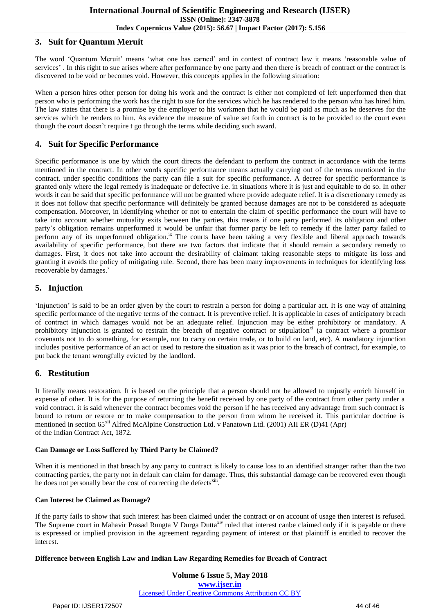## **3. Suit for Quantum Meruit**

The word "Quantum Meruit" means "what one has earned" and in context of contract law it means "reasonable value of services'. In this right to sue arises where after performance by one party and then there is breach of contract or the contract is discovered to be void or becomes void. However, this concepts applies in the following situation:

When a person hires other person for doing his work and the contract is either not completed of left unperformed then that person who is performing the work has the right to sue for the services which he has rendered to the person who has hired him. The law states that there is a promise by the employer to his workmen that he would be paid as much as he deserves for the services which he renders to him. As evidence the measure of value set forth in contract is to be provided to the court even though the court doesn"t require t go through the terms while deciding such award.

## **4. Suit for Specific Performance**

Specific performance is one by which the court directs the defendant to perform the contract in accordance with the terms mentioned in the contract. In other words specific performance means actually carrying out of the terms mentioned in the contract. under specific conditions the party can file a suit for specific performance. A decree for specific performance is granted only where the legal remedy is inadequate or defective i.e. in situations where it is just and equitable to do so. In other words it can be said that specific performance will not be granted where provide adequate relief. It is a discretionary remedy as it does not follow that specific performance will definitely be granted because damages are not to be considered as adequate compensation. Moreover, in identifying whether or not to entertain the claim of specific performance the court will have to take into account whether mutuality exits between the parties, this means if one party performed its obligation and other party"s obligation remains unperformed it would be unfair that former party be left to remedy if the latter party failed to perform any of its unperformed obligation.<sup>ix</sup> The courts have been taking a very flexible and liberal approach towards availability of specific performance, but there are two factors that indicate that it should remain a secondary remedy to damages. First, it does not take into account the desirability of claimant taking reasonable steps to mitigate its loss and granting it avoids the policy of mitigating rule. Second, there has been many improvements in techniques for identifying loss recoverable by damages.<sup>x</sup>

# **5. Injuction**

"Injunction" is said to be an order given by the court to restrain a person for doing a particular act. It is one way of attaining specific performance of the negative terms of the contract. It is preventive relief. It is applicable in cases of anticipatory breach of contract in which damages would not be an adequate relief. Injunction may be either prohibitory or mandatory. A prohibitory injunction is granted to restrain the breach of negative contract or stipulation<sup>xi</sup> (a contract where a promisor covenants not to do something, for example, not to carry on certain trade, or to build on land, etc). A mandatory injunction includes positive performance of an act or used to restore the situation as it was prior to the breach of contract, for example, to put back the tenant wrongfully evicted by the landlord.

# **6. Restitution**

It literally means restoration. It is based on the principle that a person should not be allowed to unjustly enrich himself in expense of other. It is for the purpose of returning the benefit received by one party of the contract from other party under a void contract. it is said whenever the contract becomes void the person if he has received any advantage from such contract is bound to return or restore or to make compensation to the person from whom he received it. This particular doctrine is mentioned in section 65<sup>xii</sup> Alfred McAlpine Construction Ltd. v Panatown Ltd. (2001) AII ER (D)41 (Apr) of the Indian Contract Act, 1872.

### **Can Damage or Loss Suffered by Third Party be Claimed?**

When it is mentioned in that breach by any party to contract is likely to cause loss to an identified stranger rather than the two contracting parties, the party not in default can claim for damage. Thus, this substantial damage can be recovered even though he does not personally bear the cost of correcting the defects<sup>xiii</sup>.

### **Can Interest be Claimed as Damage?**

If the party fails to show that such interest has been claimed under the contract or on account of usage then interest is refused. The Supreme court in Mahavir Prasad Rungta V Durga Dutta<sup>xiv</sup> ruled that interest canbe claimed only if it is payable or there is expressed or implied provision in the agreement regarding payment of interest or that plaintiff is entitled to recover the interest.

## **Difference between English Law and Indian Law Regarding Remedies for Breach of Contract**

**Volume 6 Issue 5, May 2018 [www.ijser.in](file:///G:\www.ijser.in\Documents\www.ijser.in)** [Licensed Under Creative Commons Attribution CC BY](http://creativecommons.org/licenses/by/4.0/)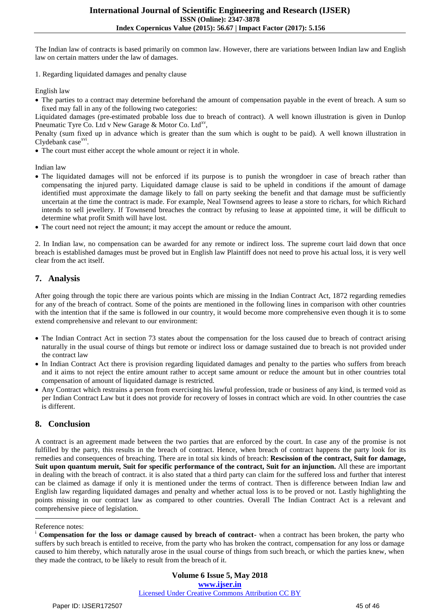The Indian law of contracts is based primarily on common law. However, there are variations between Indian law and English law on certain matters under the law of damages.

1. Regarding liquidated damages and penalty clause

English law

• The parties to a contract may determine beforehand the amount of compensation payable in the event of breach. A sum so fixed may fall in any of the following two categories:

Liquidated damages (pre-estimated probable loss due to breach of contract). A well known illustration is given in Dunlop Pneumatic Tyre Co. Ltd v New Garage & Motor Co. Ltd<sup>xv</sup>,

Penalty (sum fixed up in advance which is greater than the sum which is ought to be paid). A well known illustration in Clydebank case<sup>xvi</sup>.

The court must either accept the whole amount or reject it in whole.

Indian law

- The liquidated damages will not be enforced if its purpose is to punish the wrongdoer in case of breach rather than compensating the injured party. Liquidated damage clause is said to be upheld in conditions if the amount of damage identified must approximate the damage likely to fall on party seeking the benefit and that damage must be sufficiently uncertain at the time the contract is made. For example, Neal Townsend agrees to lease a store to richars, for which Richard intends to sell jewellery. If Townsend breaches the contract by refusing to lease at appointed time, it will be difficult to determine what profit Smith will have lost.
- The court need not reject the amount; it may accept the amount or reduce the amount.

2. In Indian law, no compensation can be awarded for any remote or indirect loss. The supreme court laid down that once breach is established damages must be proved but in English law Plaintiff does not need to prove his actual loss, it is very well clear from the act itself.

# **7. Analysis**

After going through the topic there are various points which are missing in the Indian Contract Act, 1872 regarding remedies for any of the breach of contract. Some of the points are mentioned in the following lines in comparison with other countries with the intention that if the same is followed in our country, it would become more comprehensive even though it is to some extend comprehensive and relevant to our environment:

- The Indian Contract Act in section 73 states about the compensation for the loss caused due to breach of contract arising naturally in the usual course of things but remote or indirect loss or damage sustained due to breach is not provided under the contract law
- In Indian Contract Act there is provision regarding liquidated damages and penalty to the parties who suffers from breach and it aims to not reject the entire amount rather to accept same amount or reduce the amount but in other countries total compensation of amount of liquidated damage is restricted.
- Any Contract which restrains a person from exercising his lawful profession, trade or business of any kind, is termed void as per Indian Contract Law but it does not provide for recovery of losses in contract which are void. In other countries the case is different.

# **8. Conclusion**

A contract is an agreement made between the two parties that are enforced by the court. In case any of the promise is not fulfilled by the party, this results in the breach of contract. Hence, when breach of contract happens the party look for its remedies and consequences of breaching. There are in total six kinds of breach: **Rescission of the contract, Suit for damage, Suit upon quantum meruit, Suit for specific performance of the contract, Suit for an injunction.** All these are important in dealing with the breach of contract. it is also stated that a third party can claim for the suffered loss and further that interest can be claimed as damage if only it is mentioned under the terms of contract. Then is difference between Indian law and English law regarding liquidated damages and penalty and whether actual loss is to be proved or not. Lastly highlighting the points missing in our contract law as compared to other countries. Overall The Indian Contract Act is a relevant and comprehensive piece of legislation.

### Reference notes:

 $\ddot{\phantom{a}}$ 

<sup>&</sup>lt;sup>i</sup> **Compensation for the loss or damage caused by breach of contract-** when a contract has been broken, the party who suffers by such breach is entitled to receive, from the party who has broken the contract, compensation for any loss or damage caused to him thereby, which naturally arose in the usual course of things from such breach, or which the parties knew, when they made the contract, to be likely to result from the breach of it.